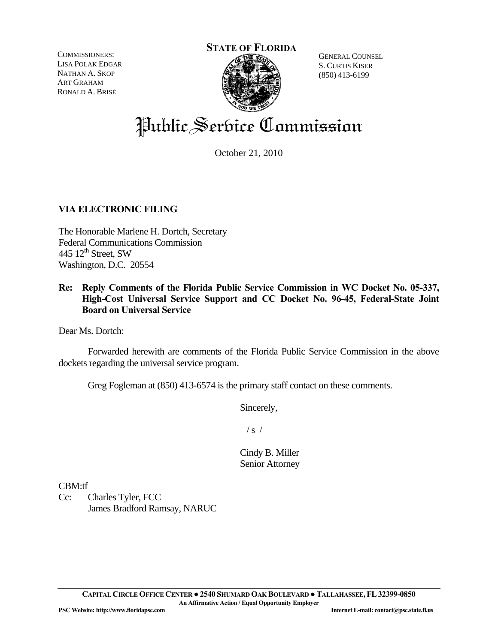**STATE OF FLORIDA**

COMMISSIONERS: LISA POLAK EDGAR NATHAN A. SKOP ART GRAHAM RONALD A. BRISÉ



GENERAL COUNSEL S. CURTIS KISER (850) 413-6199

# Public Service Commission

October 21, 2010

# **VIA ELECTRONIC FILING**

The Honorable Marlene H. Dortch, Secretary Federal Communications Commission 445  $12^{\text{th}}$  Street, SW Washington, D.C. 20554

# **Re: Reply Comments of the Florida Public Service Commission in WC Docket No. 05-337, High-Cost Universal Service Support and CC Docket No. 96-45, Federal-State Joint Board on Universal Service**

Dear Ms. Dortch:

 Forwarded herewith are comments of the Florida Public Service Commission in the above dockets regarding the universal service program.

Greg Fogleman at (850) 413-6574 is the primary staff contact on these comments.

Sincerely,

 $/ s /$ 

Cindy B. Miller Senior Attorney

CBM:tf

Cc: Charles Tyler, FCC James Bradford Ramsay, NARUC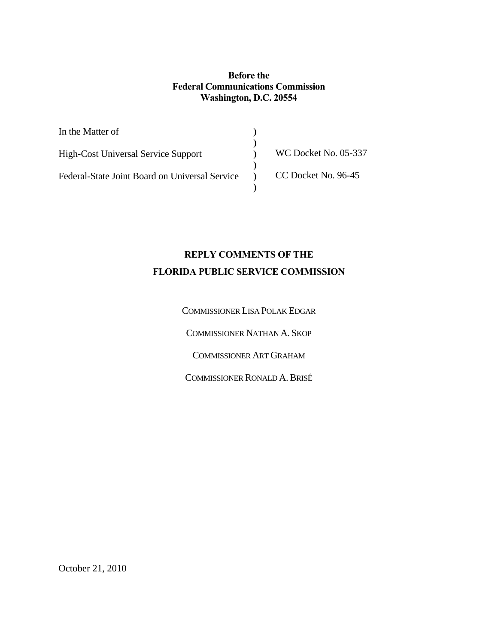### **Before the Federal Communications Commission Washington, D.C. 20554**

**) ) ) ) ) )** 

In the Matter of

High-Cost Universal Service Support

Federal-State Joint Board on Universal Service

WC Docket No. 05-337

CC Docket No. 96-45

# **REPLY COMMENTS OF THE FLORIDA PUBLIC SERVICE COMMISSION**

COMMISSIONER LISA POLAK EDGAR

COMMISSIONER NATHAN A. SKOP

COMMISSIONER ART GRAHAM

COMMISSIONER RONALD A.BRISÉ

October 21, 2010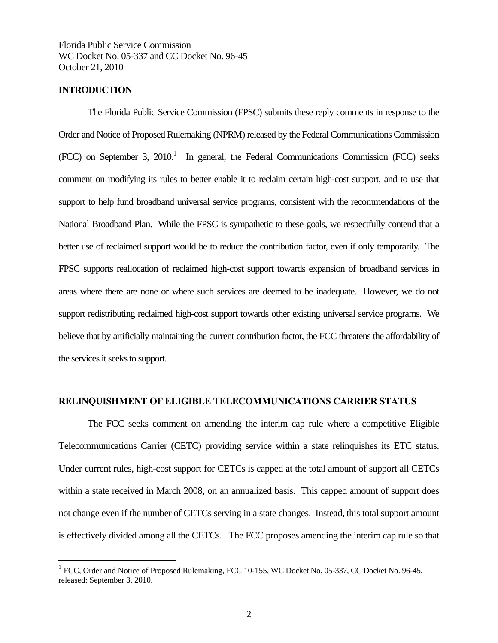### **INTRODUCTION**

 $\overline{a}$ 

The Florida Public Service Commission (FPSC) submits these reply comments in response to the Order and Notice of Proposed Rulemaking (NPRM) released by the Federal Communications Commission  $(FCC)$  on September 3, 2010.<sup>1</sup> In general, the Federal Communications Commission (FCC) seeks comment on modifying its rules to better enable it to reclaim certain high-cost support, and to use that support to help fund broadband universal service programs, consistent with the recommendations of the National Broadband Plan. While the FPSC is sympathetic to these goals, we respectfully contend that a better use of reclaimed support would be to reduce the contribution factor, even if only temporarily. The FPSC supports reallocation of reclaimed high-cost support towards expansion of broadband services in areas where there are none or where such services are deemed to be inadequate. However, we do not support redistributing reclaimed high-cost support towards other existing universal service programs. We believe that by artificially maintaining the current contribution factor, the FCC threatens the affordability of the services it seeks to support.

#### **RELINQUISHMENT OF ELIGIBLE TELECOMMUNICATIONS CARRIER STATUS**

The FCC seeks comment on amending the interim cap rule where a competitive Eligible Telecommunications Carrier (CETC) providing service within a state relinquishes its ETC status. Under current rules, high-cost support for CETCs is capped at the total amount of support all CETCs within a state received in March 2008, on an annualized basis. This capped amount of support does not change even if the number of CETCs serving in a state changes. Instead, this total support amount is effectively divided among all the CETCs. The FCC proposes amending the interim cap rule so that

<sup>&</sup>lt;sup>1</sup> FCC, Order and Notice of Proposed Rulemaking, FCC 10-155, WC Docket No. 05-337, CC Docket No. 96-45, released: September 3, 2010.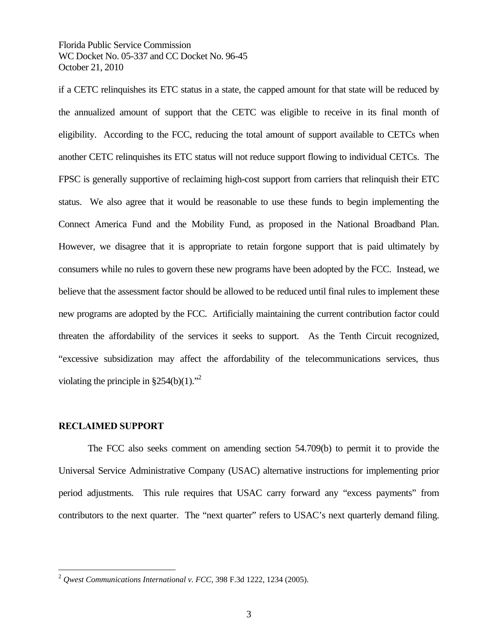if a CETC relinquishes its ETC status in a state, the capped amount for that state will be reduced by the annualized amount of support that the CETC was eligible to receive in its final month of eligibility. According to the FCC, reducing the total amount of support available to CETCs when another CETC relinquishes its ETC status will not reduce support flowing to individual CETCs. The FPSC is generally supportive of reclaiming high-cost support from carriers that relinquish their ETC status. We also agree that it would be reasonable to use these funds to begin implementing the Connect America Fund and the Mobility Fund, as proposed in the National Broadband Plan. However, we disagree that it is appropriate to retain forgone support that is paid ultimately by consumers while no rules to govern these new programs have been adopted by the FCC. Instead, we believe that the assessment factor should be allowed to be reduced until final rules to implement these new programs are adopted by the FCC. Artificially maintaining the current contribution factor could threaten the affordability of the services it seeks to support. As the Tenth Circuit recognized, "excessive subsidization may affect the affordability of the telecommunications services, thus violating the principle in  $§254(b)(1)$ ."<sup>2</sup>

### **RECLAIMED SUPPORT**

 $\overline{a}$ 

 The FCC also seeks comment on amending section 54.709(b) to permit it to provide the Universal Service Administrative Company (USAC) alternative instructions for implementing prior period adjustments. This rule requires that USAC carry forward any "excess payments" from contributors to the next quarter. The "next quarter" refers to USAC's next quarterly demand filing.

<sup>2</sup> *Qwest Communications International v. FCC*, 398 F.3d 1222, 1234 (2005).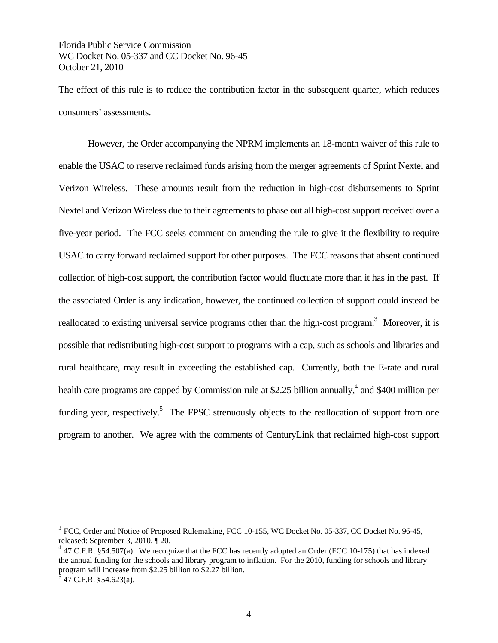The effect of this rule is to reduce the contribution factor in the subsequent quarter, which reduces consumers' assessments.

However, the Order accompanying the NPRM implements an 18-month waiver of this rule to enable the USAC to reserve reclaimed funds arising from the merger agreements of Sprint Nextel and Verizon Wireless. These amounts result from the reduction in high-cost disbursements to Sprint Nextel and Verizon Wireless due to their agreements to phase out all high-cost support received over a five-year period. The FCC seeks comment on amending the rule to give it the flexibility to require USAC to carry forward reclaimed support for other purposes. The FCC reasons that absent continued collection of high-cost support, the contribution factor would fluctuate more than it has in the past. If the associated Order is any indication, however, the continued collection of support could instead be reallocated to existing universal service programs other than the high-cost program.<sup>3</sup> Moreover, it is possible that redistributing high-cost support to programs with a cap, such as schools and libraries and rural healthcare, may result in exceeding the established cap. Currently, both the E-rate and rural health care programs are capped by Commission rule at \$2.25 billion annually,<sup>4</sup> and \$400 million per funding year, respectively.<sup>5</sup> The FPSC strenuously objects to the reallocation of support from one program to another. We agree with the comments of CenturyLink that reclaimed high-cost support

 $\overline{a}$ 

<sup>&</sup>lt;sup>3</sup> FCC, Order and Notice of Proposed Rulemaking, FCC 10-155, WC Docket No. 05-337, CC Docket No. 96-45, released: September 3, 2010, ¶ 20.

 $4$  47 C.F.R. §54.507(a). We recognize that the FCC has recently adopted an Order (FCC 10-175) that has indexed the annual funding for the schools and library program to inflation. For the 2010, funding for schools and library program will increase from \$2.25 billion to \$2.27 billion.

 $3^{5}$  47 C.F.R. §54.623(a).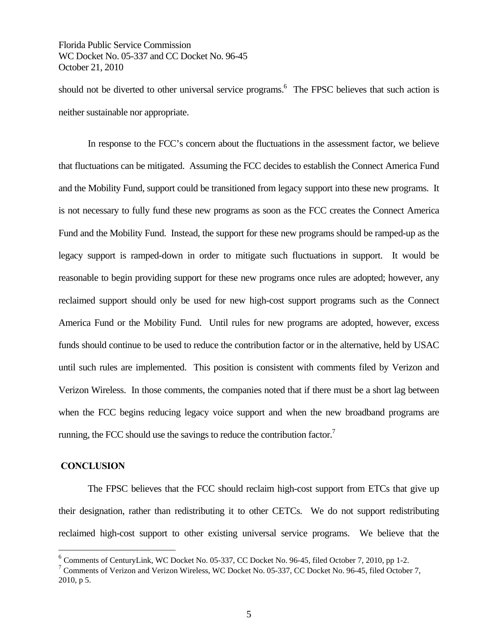should not be diverted to other universal service programs.<sup>6</sup> The FPSC believes that such action is neither sustainable nor appropriate.

In response to the FCC's concern about the fluctuations in the assessment factor, we believe that fluctuations can be mitigated. Assuming the FCC decides to establish the Connect America Fund and the Mobility Fund, support could be transitioned from legacy support into these new programs. It is not necessary to fully fund these new programs as soon as the FCC creates the Connect America Fund and the Mobility Fund. Instead, the support for these new programs should be ramped-up as the legacy support is ramped-down in order to mitigate such fluctuations in support. It would be reasonable to begin providing support for these new programs once rules are adopted; however, any reclaimed support should only be used for new high-cost support programs such as the Connect America Fund or the Mobility Fund. Until rules for new programs are adopted, however, excess funds should continue to be used to reduce the contribution factor or in the alternative, held by USAC until such rules are implemented. This position is consistent with comments filed by Verizon and Verizon Wireless. In those comments, the companies noted that if there must be a short lag between when the FCC begins reducing legacy voice support and when the new broadband programs are running, the FCC should use the savings to reduce the contribution factor.<sup>7</sup>

### **CONCLUSION**

 $\overline{a}$ 

 The FPSC believes that the FCC should reclaim high-cost support from ETCs that give up their designation, rather than redistributing it to other CETCs. We do not support redistributing reclaimed high-cost support to other existing universal service programs. We believe that the

<sup>6</sup> Comments of CenturyLink, WC Docket No. 05-337, CC Docket No. 96-45, filed October 7, 2010, pp 1-2.

<sup>&</sup>lt;sup>7</sup> Comments of Verizon and Verizon Wireless, WC Docket No. 05-337, CC Docket No. 96-45, filed October 7, 2010, p 5.